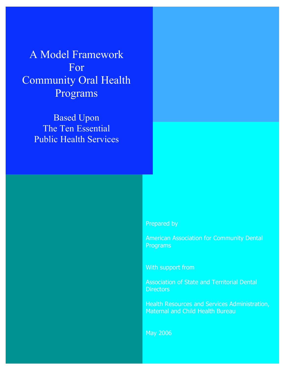A Model Framework For Community Oral Health Programs

> Based Upon The Ten Essential Public Health Services

> > Prepared by

American Association for Community Dental Programs

With support from

Association of State and Territorial Dental **Directors** 

Health Resources and Services Administration, Maternal and Child Health Bureau

May 2006

*A Model Framework for Community Oral Health Programs* 0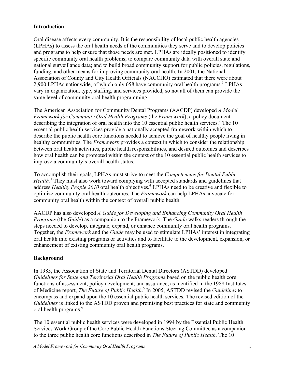#### **Introduction**

Oral disease affects every community. It is the responsibility of local public health agencies (LPHAs) to assess the oral health needs of the communities they serve and to develop policies and programs to help ensure that those needs are met. LPHAs are ideally positioned to identify specific community oral health problems; to compare community data with overall state and national surveillance data; and to build broad community support for public policies, regulations, funding, and other means for improving community oral health. In 2001, the National Association of County and City Health Officials (NACCHO) estimated that there were about 2,900 LPHAs nationwide, of which only 658 have community oral health programs.<sup>1</sup> LPHAs vary in organization, type, staffing, and services provided, so not all of them can provide the same level of community oral health programming.

The American Association for Community Dental Programs (AACDP) developed *A Model Framework for Community Oral Health Programs* **(**the *Framework*), a policy document describing the integration of oral health into the 10 essential public health services.<sup>2</sup> The 10 essential public health services provide a nationally accepted framework within which to describe the public health core functions needed to achieve the goal of healthy people living in healthy communities. The *Framework* provides a context in which to consider the relationship between oral health activities, public health responsibilities, and desired outcomes and describes how oral health can be promoted within the context of the 10 essential public health services to improve a community's overall health status.

To accomplish their goals, LPHAs must strive to meet the *Competencies for Dental Public Health.*<sup>3</sup> They must also work toward complying with accepted standards and guidelines that address *Healthy People 2010* oral health objectives*.* <sup>4</sup> LPHAs need to be creative and flexible to optimize community oral health outcomes. The *Framework* can help LPHAs advocate for community oral health within the context of overall public health.

AACDP has also developed *A Guide for Developing and Enhancing Community Oral Health Programs* (the *Guide*) as a companion to the Framework. The *Guide* walks readers through the steps needed to develop, integrate, expand, or enhance community oral health programs. Together, the *Framework* and the *Guide* may be used to stimulate LPHAs' interest in integrating oral health into existing programs or activities and to facilitate to the development, expansion, or enhancement of existing community oral health programs.

# **Background**

In 1985, the Association of State and Territorial Dental Directors (ASTDD) developed *Guidelines for State and Territorial Oral Health Programs* based on the public health core functions of assessment, policy development, and assurance, as identified in the 1988 Institutes of Medicine report, *The Future of Public Health*. <sup>5</sup> In 2005, ASTDD revised the *Guidelines* to encompass and expand upon the 10 essential public health services. The revised edition of the *Guidelines* is linked to the ASTDD proven and promising best practices for state and community oral health programs. 6

The 10 essential public health services were developed in 1994 by the Essential Public Health Services Work Group of the Core Public Health Functions Steering Committee as a companion to the three public health core functions described in *The Future of Public Health*. The 10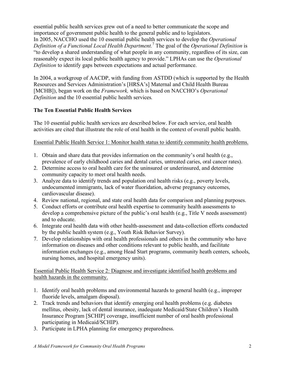essential public health services grew out of a need to better communicate the scope and importance of government public health to the general public and to legislators. In 2005, NACCHO used the 10 essential public health services to develop the *Operational Definition of a Functional Local Health Department.* <sup>7</sup> The goal of the *Operational Definition* is "to develop a shared understanding of what people in any community, regardless of its size, can reasonably expect its local public health agency to provide." LPHAs can use the *Operational Definition* to identify gaps between expectations and actual performance.

In 2004, a workgroup of AACDP, with funding from ASTDD (which is supported by the Health Resources and Services Administration's [HRSA's] Maternal and Child Health Bureau [MCHB]), began work on the *Framework,* which is based on NACCHO's *Operational Definition* and the 10 essential public health services*.*

# **The Ten Essential Public Health Services**

The 10 essential public health services are described below. For each service, oral health activities are cited that illustrate the role of oral health in the context of overall public health.

## Essential Public Health Service 1: Monitor health status to identify community health problems.

- 1. Obtain and share data that provides information on the community's oral health (e.g., prevalence of early childhood caries and dental caries, untreated caries, oral cancer rates).
- 2. Determine access to oral health care for the uninsured or underinsured, and determine community capacity to meet oral health needs.
- 3. Analyze data to identify trends and population oral health risks (e.g., poverty levels, undocumented immigrants, lack of water fluoridation, adverse pregnancy outcomes, cardiovascular disease).
- 4. Review national, regional, and state oral health data for comparison and planning purposes.
- 5. Conduct efforts or contribute oral health expertise to community health assessments to develop a comprehensive picture of the public's oral health (e.g., Title V needs assessment) and to educate.
- 6. Integrate oral health data with other health-assessment and data-collection efforts conducted by the public health system (e.g., Youth Risk Behavior Survey).
- 7. Develop relationships with oral health professionals and others in the community who have information on diseases and other conditions relevant to public health, and facilitate information exchanges (e.g., among Head Start programs, community heath centers, schools, nursing homes, and hospital emergency units).

## Essential Public Health Service 2: Diagnose and investigate identified health problems and health hazards in the community.

- 1. Identify oral health problems and environmental hazards to general health (e.g., improper fluoride levels, amalgam disposal).
- 2. Track trends and behaviors that identify emerging oral health problems (e.g. diabetes mellitus, obesity, lack of dental insurance, inadequate Medicaid/State Children's Health Insurance Program [SCHIP] coverage, insufficient number of oral health professional participating in Medicaid/SCHIP).
- 3. Participate in LPHA planning for emergency preparedness.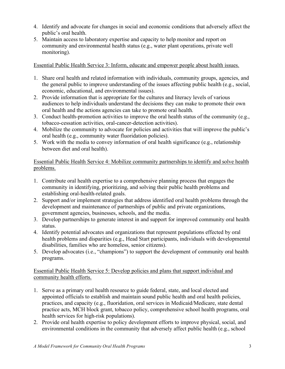- 4. Identify and advocate for changes in social and economic conditions that adversely affect the public's oral health.
- 5. Maintain access to laboratory expertise and capacity to help monitor and report on community and environmental health status (e.g., water plant operations, private well monitoring).

Essential Public Health Service 3: Inform, educate and empower people about health issues.

- 1. Share oral health and related information with individuals, community groups, agencies, and the general public to improve understanding of the issues affecting public health (e.g., social, economic, educational, and environmental issues).
- 2. Provide information that is appropriate for the cultures and literacy levels of various audiences to help individuals understand the decisions they can make to promote their own oral health and the actions agencies can take to promote oral health.
- 3. Conduct health-promotion activities to improve the oral health status of the community (e.g., tobacco-cessation activities, oral-cancer-detection activities).
- 4. Mobilize the community to advocate for policies and activities that will improve the public's oral health (e.g., community water fluoridation policies).
- 5. Work with the media to convey information of oral health significance (e.g., relationship between diet and oral health).

Essential Public Health Service 4: Mobilize community partnerships to identify and solve health problems.

- 1. Contribute oral health expertise to a comprehensive planning process that engages the community in identifying, prioritizing, and solving their public health problems and establishing oral-health-related goals.
- 2. Support and/or implement strategies that address identified oral health problems through the development and maintenance of partnerships of public and private organizations, government agencies, businesses, schools, and the media.
- 3. Develop partnerships to generate interest in and support for improved community oral health status.
- 4. Identify potential advocates and organizations that represent populations effected by oral health problems and disparities (e.g., Head Start participants, individuals with developmental disabilities, families who are homeless, senior citizens).
- 5. Develop advocates (i.e., "champions") to support the development of community oral health programs.

## Essential Public Health Service 5: Develop policies and plans that support individual and community health efforts.

- 1. Serve as a primary oral health resource to guide federal, state, and local elected and appointed officials to establish and maintain sound public health and oral health policies, practices, and capacity (e.g., fluoridation, oral services in Medicaid/Medicare, state dental practice acts, MCH block grant, tobacco policy, comprehensive school health programs, oral health services for high-risk populations).
- 2. Provide oral health expertise to policy development efforts to improve physical, social, and environmental conditions in the community that adversely affect public health (e.g., school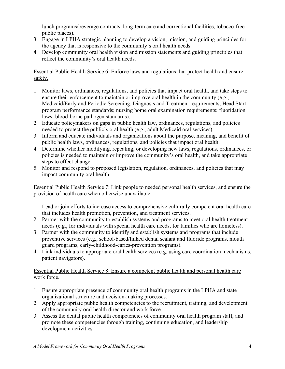lunch programs/beverage contracts, long-term care and correctional facilities, tobacco-free public places).

- 3. Engage in LPHA strategic planning to develop a vision, mission, and guiding principles for the agency that is responsive to the community's oral health needs.
- 4. Develop community oral health vision and mission statements and guiding principles that reflect the community's oral health needs.

Essential Public Health Service 6: Enforce laws and regulations that protect health and ensure safety.

- 1. Monitor laws, ordinances, regulations, and policies that impact oral health, and take steps to ensure their enforcement to maintain or improve oral health in the community (e.g., Medicaid/Early and Periodic Screening, Diagnosis and Treatment requirements; Head Start program performance standards; nursing home oral examination requirements; fluoridation laws; blood-borne pathogen standards).
- 2. Educate policymakers on gaps in public health law, ordinances, regulations, and policies needed to protect the public's oral health (e.g., adult Medicaid oral services).
- 3. Inform and educate individuals and organizations about the purpose, meaning, and benefit of public health laws, ordinances, regulations, and policies that impact oral health.
- 4. Determine whether modifying, repealing, or developing new laws, regulations, ordinances, or policies is needed to maintain or improve the community's oral health, and take appropriate steps to effect change.
- 5. Monitor and respond to proposed legislation, regulation, ordinances, and policies that may impact community oral health.

Essential Public Health Service 7: Link people to needed personal health services, and ensure the provision of health care when otherwise unavailable.

- 1. Lead or join efforts to increase access to comprehensive culturally competent oral health care that includes health promotion, prevention, and treatment services.
- 2. Partner with the community to establish systems and programs to meet oral health treatment needs (e.g., for individuals with special health care needs, for families who are homeless).
- 3. Partner with the community to identify and establish systems and programs that include preventive services (e.g., school-based/linked dental sealant and fluoride programs, mouth guard programs, early-childhood-caries-prevention programs).
- 4. Link individuals to appropriate oral health services (e.g. using care coordination mechanisms, patient navigators).

# Essential Public Health Service 8: Ensure a competent public health and personal health care work force.

- 1. Ensure appropriate presence of community oral health programs in the LPHA and state organizational structure and decision-making processes.
- 2. Apply appropriate public health competencies to the recruitment, training, and development of the community oral health director and work force.
- 3. Assess the dental public health competencies of community oral health program staff, and promote these competencies through training, continuing education, and leadership development activities.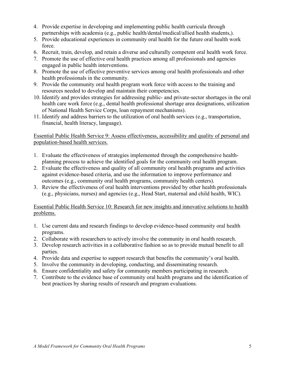- 4. Provide expertise in developing and implementing public health curricula through partnerships with academia (e.g., public health/dental/medical/allied health students,).
- 5. Provide educational experiences in community oral health for the future oral health work force.
- 6. Recruit, train, develop, and retain a diverse and culturally competent oral health work force.
- 7. Promote the use of effective oral health practices among all professionals and agencies engaged in public health interventions.
- 8. Promote the use of effective preventive services among oral health professionals and other health professionals in the community.
- 9. Provide the community oral health program work force with access to the training and resources needed to develop and maintain their competencies.
- 10. Identify and provides strategies for addressing public- and private-sector shortages in the oral health care work force (e.g., dental health professional shortage area designations, utilization of National Health Service Corps, loan repayment mechanisms).
- 11. Identify and address barriers to the utilization of oral health services (e.g., transportation, financial, health literacy, language).

## Essential Public Health Service 9: Assess effectiveness, accessibility and quality of personal and population-based health services.

- 1. Evaluate the effectiveness of strategies implemented through the comprehensive healthplanning process to achieve the identified goals for the community oral health program.
- 2. Evaluate the effectiveness and quality of all community oral health programs and activities against evidence-based criteria, and use the information to improve performance and outcomes (e.g., community oral health programs, community health centers).
- 3. Review the effectiveness of oral health interventions provided by other health professionals (e.g., physicians, nurses) and agencies (e.g., Head Start, maternal and child health, WIC).

# Essential Public Health Service 10: Research for new insights and innovative solutions to health problems.

- 1. Use current data and research findings to develop evidence-based community oral health programs.
- 2. Collaborate with researchers to actively involve the community in oral health research.
- 3. Develop research activities in a collaborative fashion so as to provide mutual benefit to all parties.
- 4. Provide data and expertise to support research that benefits the community's oral health.
- 5. Involve the community in developing, conducting, and disseminating research.
- 6. Ensure confidentiality and safety for community members participating in research.
- 7. Contribute to the evidence base of community oral health programs and the identification of best practices by sharing results of research and program evaluations.